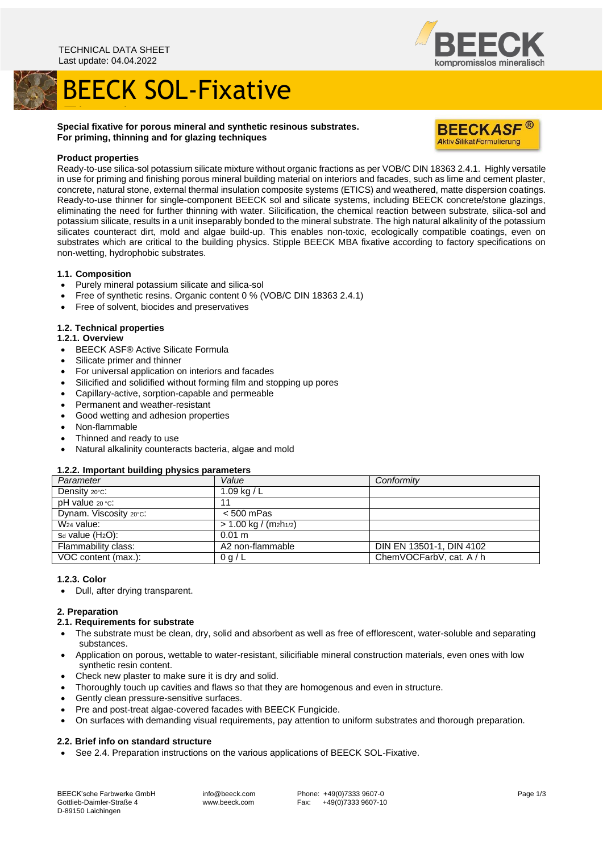# BEECK SOL-Fixative



### Fixative **Special fixative for porous mineral and synthetic resinous substrates. For priming, thinning and for glazing techniques**



#### **Product properties**

Ready-to-use silica-sol potassium silicate mixture without organic fractions as per VOB/C DIN 18363 2.4.1. Highly versatile in use for priming and finishing porous mineral building material on interiors and facades, such as lime and cement plaster, concrete, natural stone, external thermal insulation composite systems (ETICS) and weathered, matte dispersion coatings. Ready-to-use thinner for single-component BEECK sol and silicate systems, including BEECK concrete/stone glazings, eliminating the need for further thinning with water. Silicification, the chemical reaction between substrate, silica-sol and potassium silicate, results in a unit inseparably bonded to the mineral substrate. The high natural alkalinity of the potassium silicates counteract dirt, mold and algae build-up. This enables non-toxic, ecologically compatible coatings, even on substrates which are critical to the building physics. Stipple BEECK MBA fixative according to factory specifications on non-wetting, hydrophobic substrates.

#### **1.1. Composition**

- Purely mineral potassium silicate and silica-sol
- Free of synthetic resins. Organic content 0 % (VOB/C DIN 18363 2.4.1)
- Free of solvent, biocides and preservatives

#### **1.2. Technical properties**

#### **1.2.1. Overview**

- BEECK ASF® Active Silicate Formula
- Silicate primer and thinner
- For universal application on interiors and facades
- Silicified and solidified without forming film and stopping up pores
- Capillary-active, sorption-capable and permeable
- Permanent and weather-resistant
- Good wetting and adhesion properties
- Non-flammable
- Thinned and ready to use
- Natural alkalinity counteracts bacteria, algae and mold

#### **1.2.2. Important building physics parameters**

| Parameter                 | Value                                          | Conformity               |
|---------------------------|------------------------------------------------|--------------------------|
| Density $20^{\circ}$ C:   | $1.09$ kg / L                                  |                          |
| $pH$ value $20 °C$ :      | 11                                             |                          |
| Dynam. Viscosity 20°C:    | $< 500$ mPas                                   |                          |
| $\overline{W_2}$ 4 value: | > 1.00 kg / (m <sub>2</sub> h <sub>1/2</sub> ) |                          |
| $S_d$ value $(H_2O)$ :    | $0.01 \text{ m}$                               |                          |
| Flammability class:       | A2 non-flammable                               | DIN EN 13501-1, DIN 4102 |
| VOC content (max.):       | 0 g/L                                          | ChemVOCFarbV, cat. A / h |
|                           |                                                |                          |

#### **1.2.3. Color**

• Dull, after drying transparent.

#### **2. Preparation**

- **2.1. Requirements for substrate**
- The substrate must be clean, dry, solid and absorbent as well as free of efflorescent, water-soluble and separating substances.
- Application on porous, wettable to water-resistant, silicifiable mineral construction materials, even ones with low synthetic resin content.
- Check new plaster to make sure it is dry and solid.
- Thoroughly touch up cavities and flaws so that they are homogenous and even in structure.
- Gently clean pressure-sensitive surfaces.
- Pre and post-treat algae-covered facades with BEECK Fungicide.
- On surfaces with demanding visual requirements, pay attention to uniform substrates and thorough preparation.

#### **2.2. Brief info on standard structure**

• See 2.4. Preparation instructions on the various applications of BEECK SOL-Fixative.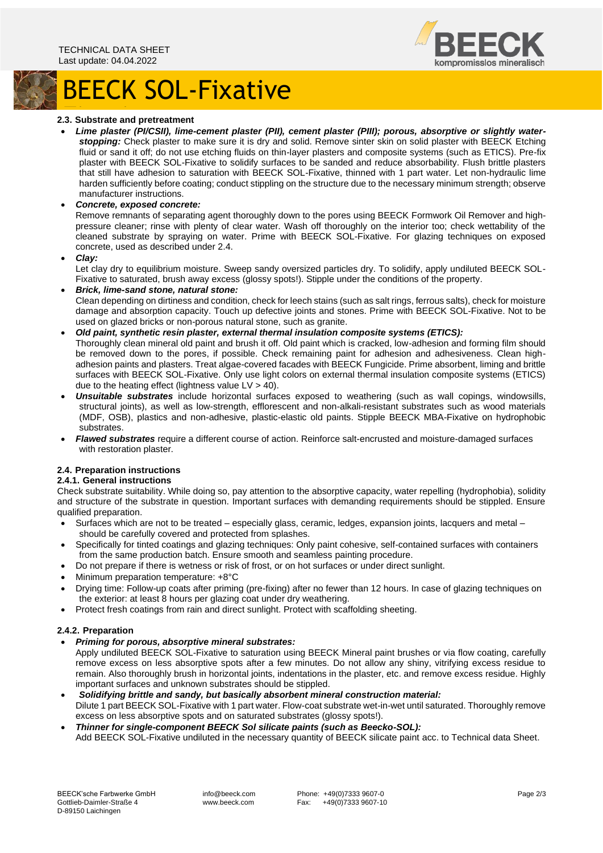



## Fixative **2.3. Substrate and pretreatment**

• *Lime plaster (PI/CSII), lime-cement plaster (PII), cement plaster (PIII); porous, absorptive or slightly waterstopping:* Check plaster to make sure it is dry and solid. Remove sinter skin on solid plaster with BEECK Etching fluid or sand it off; do not use etching fluids on thin-layer plasters and composite systems (such as ETICS). Pre-fix plaster with BEECK SOL-Fixative to solidify surfaces to be sanded and reduce absorbability. Flush brittle plasters that still have adhesion to saturation with BEECK SOL-Fixative, thinned with 1 part water. Let non-hydraulic lime harden sufficiently before coating; conduct stippling on the structure due to the necessary minimum strength; observe manufacturer instructions.

#### • *Concrete, exposed concrete:*

Remove remnants of separating agent thoroughly down to the pores using BEECK Formwork Oil Remover and highpressure cleaner; rinse with plenty of clear water. Wash off thoroughly on the interior too; check wettability of the cleaned substrate by spraying on water. Prime with BEECK SOL-Fixative. For glazing techniques on exposed concrete, used as described under 2.4.

• *Clay:*

Let clay dry to equilibrium moisture. Sweep sandy oversized particles dry. To solidify, apply undiluted BEECK SOL-Fixative to saturated, brush away excess (glossy spots!). Stipple under the conditions of the property.

• *Brick, lime-sand stone, natural stone:* Clean depending on dirtiness and condition, check for leech stains (such as salt rings, ferrous salts), check for moisture damage and absorption capacity. Touch up defective joints and stones. Prime with BEECK SOL-Fixative. Not to be used on glazed bricks or non-porous natural stone, such as granite.

#### • *Old paint, synthetic resin plaster, external thermal insulation composite systems (ETICS):*

Thoroughly clean mineral old paint and brush it off. Old paint which is cracked, low-adhesion and forming film should be removed down to the pores, if possible. Check remaining paint for adhesion and adhesiveness. Clean highadhesion paints and plasters. Treat algae-covered facades with BEECK Fungicide. Prime absorbent, liming and brittle surfaces with BEECK SOL-Fixative. Only use light colors on external thermal insulation composite systems (ETICS) due to the heating effect (lightness value  $LV > 40$ ).

- *Unsuitable substrates* include horizontal surfaces exposed to weathering (such as wall copings, windowsills, structural joints), as well as low-strength, efflorescent and non-alkali-resistant substrates such as wood materials (MDF, OSB), plastics and non-adhesive, plastic-elastic old paints. Stipple BEECK MBA-Fixative on hydrophobic substrates.
- *Flawed substrates* require a different course of action. Reinforce salt-encrusted and moisture-damaged surfaces with restoration plaster.

#### **2.4. Preparation instructions**

#### **2.4.1. General instructions**

Check substrate suitability. While doing so, pay attention to the absorptive capacity, water repelling (hydrophobia), solidity and structure of the substrate in question. Important surfaces with demanding requirements should be stippled. Ensure qualified preparation.

- Surfaces which are not to be treated especially glass, ceramic, ledges, expansion joints, lacquers and metal should be carefully covered and protected from splashes.
- Specifically for tinted coatings and glazing techniques: Only paint cohesive, self-contained surfaces with containers from the same production batch. Ensure smooth and seamless painting procedure.
- Do not prepare if there is wetness or risk of frost, or on hot surfaces or under direct sunlight.
- Minimum preparation temperature: +8°C
- Drying time: Follow-up coats after priming (pre-fixing) after no fewer than 12 hours. In case of glazing techniques on the exterior: at least 8 hours per glazing coat under dry weathering.
- Protect fresh coatings from rain and direct sunlight. Protect with scaffolding sheeting.

#### **2.4.2. Preparation**

- *Priming for porous, absorptive mineral substrates:*
- Apply undiluted BEECK SOL-Fixative to saturation using BEECK Mineral paint brushes or via flow coating, carefully remove excess on less absorptive spots after a few minutes. Do not allow any shiny, vitrifying excess residue to remain. Also thoroughly brush in horizontal joints, indentations in the plaster, etc. and remove excess residue. Highly important surfaces and unknown substrates should be stippled.
- *Solidifying brittle and sandy, but basically absorbent mineral construction material:* Dilute 1 part BEECK SOL-Fixative with 1 part water. Flow-coat substrate wet-in-wet until saturated. Thoroughly remove excess on less absorptive spots and on saturated substrates (glossy spots!).
- *Thinner for single-component BEECK Sol silicate paints (such as Beecko-SOL):* Add BEECK SOL-Fixative undiluted in the necessary quantity of BEECK silicate paint acc. to Technical data Sheet.